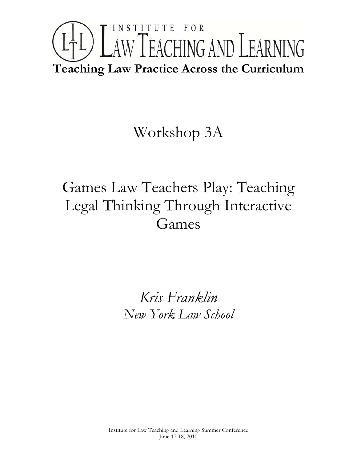# INSTITUTE FOR LTL) LAW TEACHING AND LEARNING **Teaching Law Practice Across the Curriculum**

## Workshop 3A

## Games Law Teachers Play: Teaching Legal Thinking Through Interactive Games

*Kris Franklin New York Law School*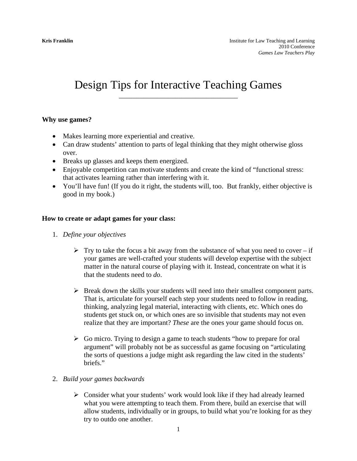### Design Tips for Interactive Teaching Games

#### **Why use games?**

- Makes learning more experiential and creative.
- Can draw students' attention to parts of legal thinking that they might otherwise gloss over.
- Breaks up glasses and keeps them energized.
- Enjoyable competition can motivate students and create the kind of "functional stress: that activates learning rather than interfering with it.
- You'll have fun! (If you do it right, the students will, too. But frankly, either objective is good in my book.)

#### **How to create or adapt games for your class:**

- 1. *Define your objectives* 
	- $\triangleright$  Try to take the focus a bit away from the substance of what you need to cover if your games are well-crafted your students will develop expertise with the subject matter in the natural course of playing with it. Instead, concentrate on what it is that the students need to *do*.
	- $\triangleright$  Break down the skills your students will need into their smallest component parts. That is, articulate for yourself each step your students need to follow in reading, thinking, analyzing legal material, interacting with clients, etc. Which ones do students get stuck on, or which ones are so invisible that students may not even realize that they are important? *These* are the ones your game should focus on.
	- $\triangleright$  Go micro. Trying to design a game to teach students "how to prepare for oral argument" will probably not be as successful as game focusing on "articulating the sorts of questions a judge might ask regarding the law cited in the students' briefs."

#### 2. *Build your games backwards*

 $\triangleright$  Consider what your students' work would look like if they had already learned what you were attempting to teach them. From there, build an exercise that will allow students, individually or in groups, to build what you're looking for as they try to outdo one another.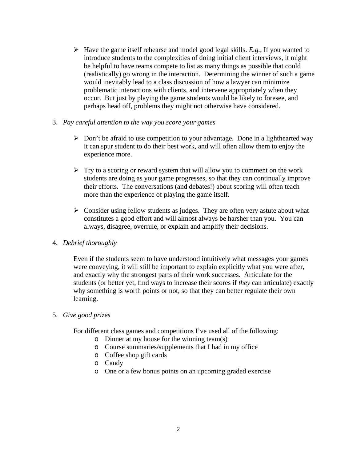- $\blacktriangleright$  Have the game itself rehearse and model good legal skills. *E.g.*, If you wanted to introduce students to the complexities of doing initial client interviews, it might be helpful to have teams compete to list as many things as possible that could (realistically) go wrong in the interaction. Determining the winner of such a game would inevitably lead to a class discussion of how a lawyer can minimize problematic interactions with clients, and intervene appropriately when they occur. But just by playing the game students would be likely to foresee, and perhaps head off, problems they might not otherwise have considered.
- 3. *Pay careful attention to the way you score your games*
	- $\triangleright$  Don't be afraid to use competition to your advantage. Done in a lighthearted way it can spur student to do their best work, and will often allow them to enjoy the experience more.
	- $\triangleright$  Try to a scoring or reward system that will allow you to comment on the work students are doing as your game progresses, so that they can continually improve their efforts. The conversations (and debates!) about scoring will often teach more than the experience of playing the game itself.
	- $\triangleright$  Consider using fellow students as judges. They are often very astute about what constitutes a good effort and will almost always be harsher than you. You can always, disagree, overrule, or explain and amplify their decisions.
- 4. *Debrief thoroughly*

Even if the students seem to have understood intuitively what messages your games were conveying, it will still be important to explain explicitly what you were after, and exactly why the strongest parts of their work successes. Articulate for the students (or better yet, find ways to increase their scores if *they* can articulate) exactly why something is worth points or not, so that they can better regulate their own learning.

5. *Give good prizes*

For different class games and competitions I've used all of the following:

- o Dinner at my house for the winning team(s)
- o Course summaries/supplements that I had in my office
- o Coffee shop gift cards
- o Candy
- o One or a few bonus points on an upcoming graded exercise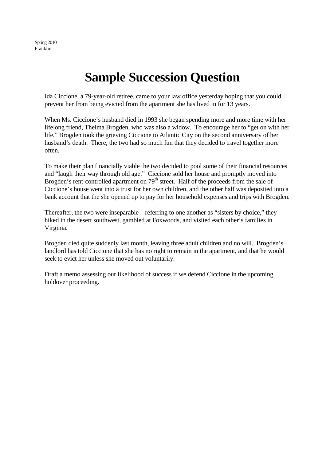Spring 2010 Franklin

### **Sample Succession Question**

Ida Ciccione, a 79-year-old retiree, came to your law office yesterday hoping that you could prevent her from being evicted from the apartment she has lived in for 13 years.

When Ms. Ciccione's husband died in 1993 she began spending more and more time with her lifelong friend, Thelma Brogden, who was also a widow. To encourage her to "get on with her life," Brogden took the grieving Ciccione to Atlantic City on the second anniversary of her husband's death. There, the two had so much fun that they decided to travel together more often.

To make their plan financially viable the two decided to pool some of their financial resources and "laugh their way through old age." Ciccione sold her house and promptly moved into Brogden's rent-controlled apartment on  $79<sup>th</sup>$  street. Half of the proceeds from the sale of Ciccione's house went into a trust for her own children, and the other half was deposited into a bank account that the she opened up to pay for her household expenses and trips with Brogden.

Thereafter, the two were inseparable – referring to one another as "sisters by choice," they hiked in the desert southwest, gambled at Foxwoods, and visited each other's families in Virginia.

Brogden died quite suddenly last month, leaving three adult children and no will. Brogden's landlord has told Ciccione that she has no right to remain in the apartment, and that he would seek to evict her unless she moved out voluntarily.

Draft a memo assessing our likelihood of success if we defend Ciccione in the upcoming holdover proceeding.